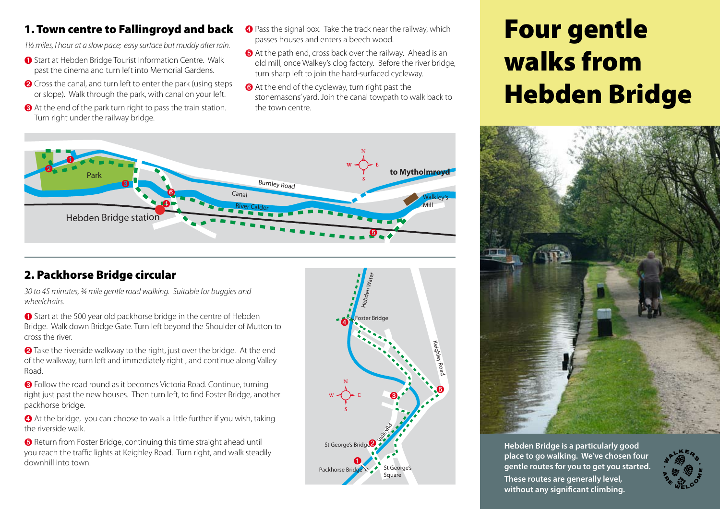## 1. Town centre to Fallingroyd and back

*1½ miles, I hour at a slow pace; easy surface but muddy after rain.*

- ➊ Start at Hebden Bridge Tourist Information Centre. Walk past the cinema and turn left into Memorial Gardens.
- **<sup>■</sup>** Cross the canal, and turn left to enter the park (using steps or slope). Walk through the park, with canal on your left.
- ➌ At the end of the park turn right to pass the train station. Turn right under the railway bridge. **Hebden Bridge**
- ➍ Pass the signal box. Take the track near the railway, which passes houses and enters a beech wood.
- ➎ At the path end, cross back over the railway. Ahead is an old mill, once Walkey's clog factory. Before the river bridge, turn sharp left to join the hard-surfaced cycleway.
- ➏ At the end of the cycleway, turn right past the stonemasons' yard. Join the canal towpath to walk back to the town centre.

# Four gentle walks from Hebden Bridge



**Hebden Bridge is a particularly good place to go walking. We've chosen four gentle routes for you to get you started. These routes are generally level, without any significant climbing.**





## 2. Packhorse Bridge circular

*30 to 45 minutes, ¾ mile gentle road walking. Suitable for buggies and wheelchairs.*

➊ Start at the 500 year old packhorse bridge in the centre of Hebden Bridge. Walk down Bridge Gate. Turn left beyond the Shoulder of Mutton to cross the river.

**<sup>■</sup>** Take the riverside walkway to the right, just over the bridge. At the end of the walkway, turn left and immediately right , and continue along Valley Road.

➌ Follow the road round as it becomes Victoria Road. Continue, turning right just past the new houses. Then turn left, to find Foster Bridge, another packhorse bridge.

➍ At the bridge, you can choose to walk a little further if you wish, taking the riverside walk.

➎ Return from Foster Bridge, continuing this time straight ahead until you reach the traffic lights at Keighley Road. Turn right, and walk steadily downhill into town.